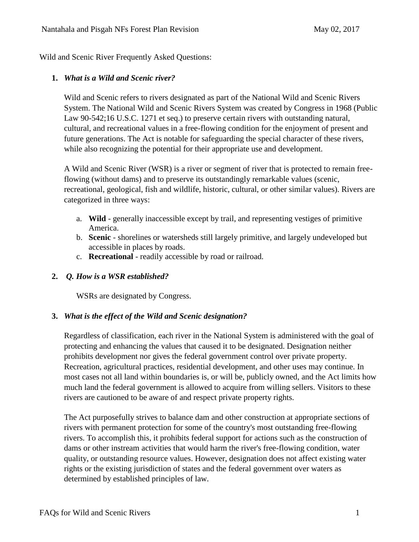Wild and Scenic River Frequently Asked Questions:

## **1.** *What is a Wild and Scenic river?*

Wild and Scenic refers to rivers designated as part of the National Wild and Scenic Rivers System. The National Wild and Scenic Rivers System was created by Congress in 1968 (Public Law 90-542;16 U.S.C. 1271 et seq.) to preserve certain rivers with outstanding natural, cultural, and recreational values in a free-flowing condition for the enjoyment of present and future generations. The Act is notable for safeguarding the special character of these rivers, while also recognizing the potential for their appropriate use and development.

A Wild and Scenic River (WSR) is a river or segment of river that is protected to remain freeflowing (without dams) and to preserve its outstandingly remarkable values (scenic, recreational, geological, fish and wildlife, historic, cultural, or other similar values). Rivers are categorized in three ways:

- a. **Wild** generally inaccessible except by trail, and representing vestiges of primitive America.
- b. **Scenic** shorelines or watersheds still largely primitive, and largely undeveloped but accessible in places by roads.
- c. **Recreational** readily accessible by road or railroad.

# **2.** *Q. How is a WSR established?*

WSRs are designated by Congress.

#### **3.** *What is the effect of the Wild and Scenic designation?*

Regardless of classification, each river in the National System is administered with the goal of protecting and enhancing the values that caused it to be designated. Designation neither prohibits development nor gives the federal government control over private property. Recreation, agricultural practices, residential development, and other uses may continue. In most cases not all land within boundaries is, or will be, publicly owned, and the Act limits how much land the federal government is allowed to acquire from willing sellers. Visitors to these rivers are cautioned to be aware of and respect private property rights.

The Act purposefully strives to balance dam and other construction at appropriate sections of rivers with permanent protection for some of the country's most outstanding free-flowing rivers. To accomplish this, it prohibits federal support for actions such as the construction of dams or other instream activities that would harm the river's free-flowing condition, water quality, or outstanding resource values. However, designation does not affect existing water rights or the existing jurisdiction of states and the federal government over waters as determined by established principles of law.